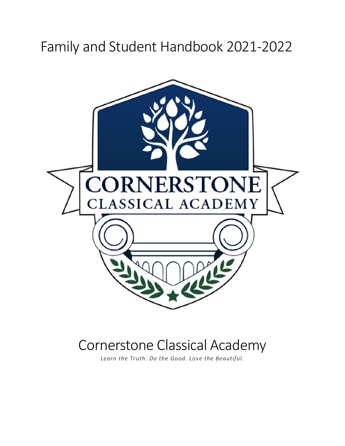# Family and Student Handbook 2021-2022



# Cornerstone Classical Academy

*Learn the Truth. Do the Good. Love the Beautiful.*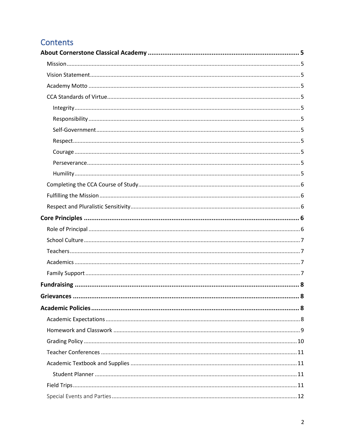# Contents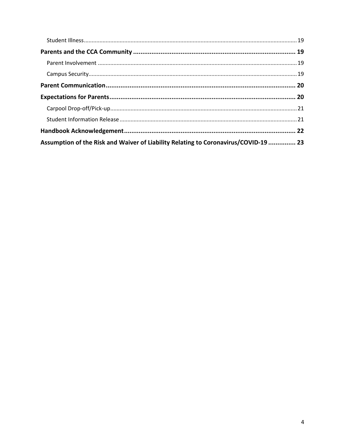| Assumption of the Risk and Waiver of Liability Relating to Coronavirus/COVID-19  23 |  |
|-------------------------------------------------------------------------------------|--|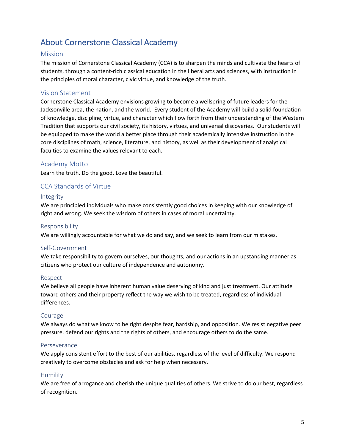### <span id="page-4-0"></span>About Cornerstone Classical Academy

#### <span id="page-4-1"></span>Mission

The mission of Cornerstone Classical Academy (CCA) is to sharpen the minds and cultivate the hearts of students, through a content-rich classical education in the liberal arts and sciences, with instruction in the principles of moral character, civic virtue, and knowledge of the truth.

#### <span id="page-4-2"></span>Vision Statement

Cornerstone Classical Academy envisions growing to become a wellspring of future leaders for the Jacksonville area, the nation, and the world. Every student of the Academy will build a solid foundation of knowledge, discipline, virtue, and character which flow forth from their understanding of the Western Tradition that supports our civil society, its history, virtues, and universal discoveries. Our students will be equipped to make the world a better place through their academically intensive instruction in the core disciplines of math, science, literature, and history, as well as their development of analytical faculties to examine the values relevant to each.

#### <span id="page-4-3"></span>Academy Motto

Learn the truth. Do the good. Love the beautiful.

#### <span id="page-4-4"></span>CCA Standards of Virtue

#### <span id="page-4-5"></span>Integrity

We are principled individuals who make consistently good choices in keeping with our knowledge of right and wrong. We seek the wisdom of others in cases of moral uncertainty.

#### <span id="page-4-6"></span>Responsibility

We are willingly accountable for what we do and say, and we seek to learn from our mistakes.

#### <span id="page-4-7"></span>Self-Government

We take responsibility to govern ourselves, our thoughts, and our actions in an upstanding manner as citizens who protect our culture of independence and autonomy.

#### <span id="page-4-8"></span>Respect

We believe all people have inherent human value deserving of kind and just treatment. Our attitude toward others and their property reflect the way we wish to be treated, regardless of individual differences.

#### <span id="page-4-9"></span>Courage

We always do what we know to be right despite fear, hardship, and opposition. We resist negative peer pressure, defend our rights and the rights of others, and encourage others to do the same.

#### <span id="page-4-10"></span>Perseverance

We apply consistent effort to the best of our abilities, regardless of the level of difficulty. We respond creatively to overcome obstacles and ask for help when necessary.

#### <span id="page-4-11"></span>Humility

We are free of arrogance and cherish the unique qualities of others. We strive to do our best, regardless of recognition.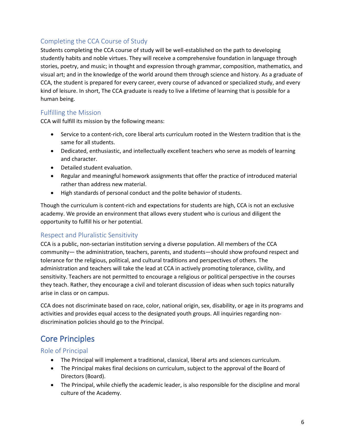#### <span id="page-5-0"></span>Completing the CCA Course of Study

Students completing the CCA course of study will be well-established on the path to developing studently habits and noble virtues. They will receive a comprehensive foundation in language through stories, poetry, and music; in thought and expression through grammar, composition, mathematics, and visual art; and in the knowledge of the world around them through science and history. As a graduate of CCA, the student is prepared for every career, every course of advanced or specialized study, and every kind of leisure. In short, The CCA graduate is ready to live a lifetime of learning that is possible for a human being.

#### <span id="page-5-1"></span>Fulfilling the Mission

CCA will fulfill its mission by the following means:

- Service to a content-rich, core liberal arts curriculum rooted in the Western tradition that is the same for all students.
- Dedicated, enthusiastic, and intellectually excellent teachers who serve as models of learning and character.
- Detailed student evaluation.
- Regular and meaningful homework assignments that offer the practice of introduced material rather than address new material.
- High standards of personal conduct and the polite behavior of students.

Though the curriculum is content-rich and expectations for students are high, CCA is not an exclusive academy. We provide an environment that allows every student who is curious and diligent the opportunity to fulfill his or her potential.

#### <span id="page-5-2"></span>Respect and Pluralistic Sensitivity

CCA is a public, non-sectarian institution serving a diverse population. All members of the CCA community— the administration, teachers, parents, and students—should show profound respect and tolerance for the religious, political, and cultural traditions and perspectives of others. The administration and teachers will take the lead at CCA in actively promoting tolerance, civility, and sensitivity. Teachers are not permitted to encourage a religious or political perspective in the courses they teach. Rather, they encourage a civil and tolerant discussion of ideas when such topics naturally arise in class or on campus.

CCA does not discriminate based on race, color, national origin, sex, disability, or age in its programs and activities and provides equal access to the designated youth groups. All inquiries regarding nondiscrimination policies should go to the Principal.

### <span id="page-5-3"></span>Core Principles

<span id="page-5-4"></span>Role of Principal

- The Principal will implement a traditional, classical, liberal arts and sciences curriculum.
- The Principal makes final decisions on curriculum, subject to the approval of the Board of Directors (Board).
- The Principal, while chiefly the academic leader, is also responsible for the discipline and moral culture of the Academy.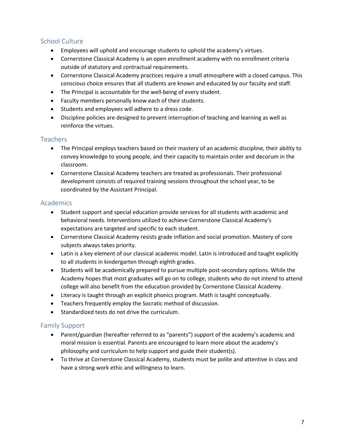#### <span id="page-6-0"></span>School Culture

- Employees will uphold and encourage students to uphold the academy's virtues.
- Cornerstone Classical Academy is an open enrollment academy with no enrollment criteria outside of statutory and contractual requirements.
- Cornerstone Classical Academy practices require a small atmosphere with a closed campus. This conscious choice ensures that all students are known and educated by our faculty and staff.
- The Principal is accountable for the well-being of every student.
- Faculty members personally know each of their students.
- Students and employees will adhere to a dress code.
- Discipline policies are designed to prevent interruption of teaching and learning as well as reinforce the virtues.

#### <span id="page-6-1"></span>**Teachers**

- The Principal employs teachers based on their mastery of an academic discipline, their ability to convey knowledge to young people, and their capacity to maintain order and decorum in the classroom.
- Cornerstone Classical Academy teachers are treated as professionals. Their professional development consists of required training sessions throughout the school year, to be coordinated by the Assistant Principal.

#### <span id="page-6-2"></span>Academics

- Student support and special education provide services for all students with academic and behavioral needs. Interventions utilized to achieve Cornerstone Classical Academy's expectations are targeted and specific to each student.
- Cornerstone Classical Academy resists grade inflation and social promotion. Mastery of core subjects always takes priority.
- Latin is a key element of our classical academic model. Latin is introduced and taught explicitly to all students in kindergarten through eighth grades.
- Students will be academically prepared to pursue multiple post-secondary options. While the Academy hopes that most graduates will go on to college, students who do not intend to attend college will also benefit from the education provided by Cornerstone Classical Academy.
- Literacy is taught through an explicit phonics program. Math is taught conceptually.
- Teachers frequently employ the Socratic method of discussion.
- Standardized tests do not drive the curriculum.

#### <span id="page-6-3"></span>Family Support

- Parent/guardian (hereafter referred to as "parents") support of the academy's academic and moral mission is essential. Parents are encouraged to learn more about the academy's philosophy and curriculum to help support and guide their student(s).
- To thrive at Cornerstone Classical Academy, students must be polite and attentive in class and have a strong work ethic and willingness to learn.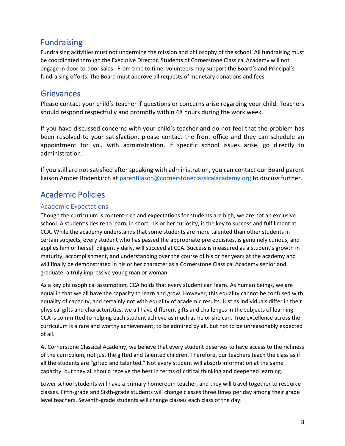### <span id="page-7-0"></span>Fundraising

Fundraising activities must not undermine the mission and philosophy of the school. All fundraising must be coordinated through the Executive Director. Students of Cornerstone Classical Academy will not engage in door-to-door sales. From time to time, volunteers may support the Board's and Principal's fundraising efforts. The Board must approve all requests of monetary donations and fees.

### <span id="page-7-1"></span>**Grievances**

Please contact your child's teacher if questions or concerns arise regarding your child. Teachers should respond respectfully and promptly within 48 hours during the work week.

If you have discussed concerns with your child's teacher and do not feel that the problem has been resolved to your satisfaction, please contact the front office and they can schedule an appointment for you with administration. If specific school issues arise, go directly to administration.

If you still are not satisfied after speaking with administration, you can contact our Board parent liaison Amber Rodenkirch at [parentliason@cornerstoneclassicalacademy.org](mailto:parentliason@cornerstoneclassicalacademy.org) to discuss further.

### <span id="page-7-2"></span>Academic Policies

#### <span id="page-7-3"></span>Academic Expectations

Though the curriculum is content-rich and expectations for students are high, we are not an exclusive school. A student's desire to learn, in short, his or her curiosity, is the key to success and fulfillment at CCA. While the academy understands that some students are more talented than other students in certain subjects, every student who has passed the appropriate prerequisites, is genuinely curious, and applies him or herself diligently daily, will succeed at CCA. Success is measured as a student's growth in maturity, accomplishment, and understanding over the course of his or her years at the academy and will finally be demonstrated in his or her character as a Cornerstone Classical Academy senior and graduate, a truly impressive young man or woman.

As a key philosophical assumption, CCA holds that every student can learn. As human beings, we are equal in that we all have the capacity to learn and grow. However, this equality cannot be confused with equality of capacity, and certainly not with equality of academic results. Just as individuals differ in their physical gifts and characteristics, we all have different gifts and challenges in the subjects of learning. CCA is committed to helping each student achieve as much as he or she can. True excellence across the curriculum is a rare and worthy achievement, to be admired by all, but not to be unreasonably expected of all.

At Cornerstone Classical Academy, we believe that every student deserves to have access to the richness of the curriculum, not just the gifted and talented children. Therefore, our teachers teach the class as if all the students are "gifted and talented." Not every student will absorb information at the same capacity, but they all should receive the best in terms of critical thinking and deepened learning.

Lower school students will have a primary homeroom teacher, and they will travel together to resource classes. Fifth-grade and Sixth-grade students will change classes three times per day among their grade level teachers. Seventh-grade students will change classes each class of the day.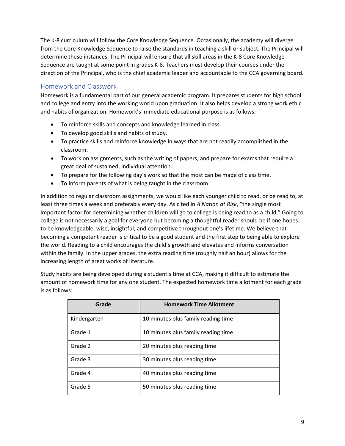The K-8 curriculum will follow the Core Knowledge Sequence. Occasionally, the academy will diverge from the Core Knowledge Sequence to raise the standards in teaching a skill or subject. The Principal will determine these instances. The Principal will ensure that all skill areas in the K-8 Core Knowledge Sequence are taught at some point in grades K-8. Teachers must develop their courses under the direction of the Principal, who is the chief academic leader and accountable to the CCA governing board.

#### <span id="page-8-0"></span>Homework and Classwork

Homework is a fundamental part of our general academic program. It prepares students for high school and college and entry into the working world upon graduation. It also helps develop a strong work ethic and habits of organization. Homework's immediate educational purpose is as follows:

- To reinforce skills and concepts and knowledge learned in class.
- To develop good skills and habits of study.
- To practice skills and reinforce knowledge in ways that are not readily accomplished in the classroom.
- To work on assignments, such as the writing of papers, and prepare for exams that require a great deal of sustained, individual attention.
- To prepare for the following day's work so that the most can be made of class time.
- To inform parents of what is being taught in the classroom.

In addition to regular classroom assignments, we would like each younger child to read, or be read to, at least three times a week and preferably every day. As cited in *A Nation at Risk*, "the single most important factor for determining whether children will go to college is being read to as a child." Going to college is not necessarily a goal for everyone but becoming a thoughtful reader should be if one hopes to be knowledgeable, wise, insightful, and competitive throughout one's lifetime. We believe that becoming a competent reader is critical to be a good student and the first step to being able to explore the world. Reading to a child encourages the child's growth and elevates and informs conversation within the family. In the upper grades, the extra reading time (roughly half an hour) allows for the increasing length of great works of literature.

Study habits are being developed during a student's time at CCA, making it difficult to estimate the amount of homework time for any one student. The expected homework time allotment for each grade is as follows:

| Grade        | <b>Homework Time Allotment</b>      |
|--------------|-------------------------------------|
| Kindergarten | 10 minutes plus family reading time |
| Grade 1      | 10 minutes plus family reading time |
| Grade 2      | 20 minutes plus reading time        |
| Grade 3      | 30 minutes plus reading time        |
| Grade 4      | 40 minutes plus reading time        |
| Grade 5      | 50 minutes plus reading time        |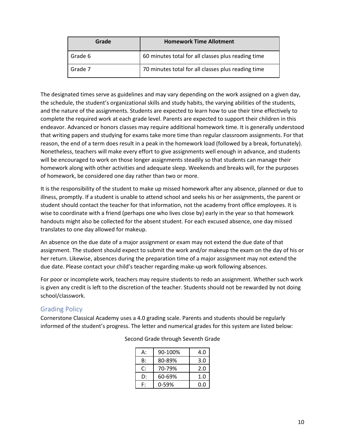| Grade   | <b>Homework Time Allotment</b>                     |  |  |
|---------|----------------------------------------------------|--|--|
| Grade 6 | 60 minutes total for all classes plus reading time |  |  |
| Grade 7 | 70 minutes total for all classes plus reading time |  |  |

The designated times serve as guidelines and may vary depending on the work assigned on a given day, the schedule, the student's organizational skills and study habits, the varying abilities of the students, and the nature of the assignments. Students are expected to learn how to use their time effectively to complete the required work at each grade level. Parents are expected to support their children in this endeavor. Advanced or honors classes may require additional homework time. It is generally understood that writing papers and studying for exams take more time than regular classroom assignments. For that reason, the end of a term does result in a peak in the homework load (followed by a break, fortunately). Nonetheless, teachers will make every effort to give assignments well enough in advance, and students will be encouraged to work on those longer assignments steadily so that students can manage their homework along with other activities and adequate sleep. Weekends and breaks will, for the purposes of homework, be considered one day rather than two or more.

It is the responsibility of the student to make up missed homework after any absence, planned or due to illness, promptly. If a student is unable to attend school and seeks his or her assignments, the parent or student should contact the teacher for that information, not the academy front office employees. It is wise to coordinate with a friend (perhaps one who lives close by) early in the year so that homework handouts might also be collected for the absent student. For each excused absence, one day missed translates to one day allowed for makeup.

An absence on the due date of a major assignment or exam may not extend the due date of that assignment. The student should expect to submit the work and/or makeup the exam on the day of his or her return. Likewise, absences during the preparation time of a major assignment may not extend the due date. Please contact your child's teacher regarding make-up work following absences.

For poor or incomplete work, teachers may require students to redo an assignment. Whether such work is given any credit is left to the discretion of the teacher. Students should not be rewarded by not doing school/classwork.

#### <span id="page-9-0"></span>Grading Policy

Cornerstone Classical Academy uses a 4.0 grading scale. Parents and students should be regularly informed of the student's progress. The letter and numerical grades for this system are listed below:

| А: | 90-100% | 4.0 |
|----|---------|-----|
| B: | 80-89%  | 3.0 |
| C: | 70-79%  | 2.0 |
| D: | 60-69%  | 1.0 |
| Ε٠ | 0-59%   | 0.0 |

Second Grade through Seventh Grade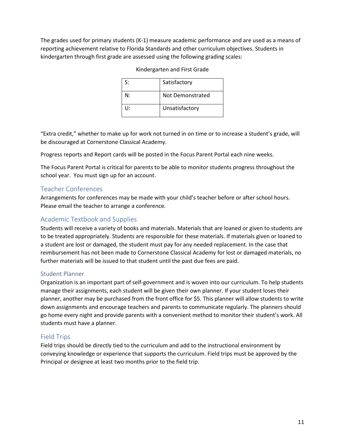The grades used for primary students (K-1) measure academic performance and are used as a means of reporting achievement relative to Florida Standards and other curriculum objectives. Students in kindergarten through first grade are assessed using the following grading scales:

| S: | Satisfactory     |
|----|------------------|
| N۰ | Not Demonstrated |
| U: | Unsatisfactory   |

"Extra credit," whether to make up for work not turned in on time or to increase a student's grade, will be discouraged at Cornerstone Classical Academy.

Progress reports and Report cards will be posted in the Focus Parent Portal each nine weeks.

The Focus Parent Portal is critical for parents to be able to monitor students progress throughout the school year. You must sign up for an account.

#### <span id="page-10-0"></span>Teacher Conferences

Arrangements for conferences may be made with your child's teacher before or after school hours. Please email the teacher to arrange a conference.

#### <span id="page-10-1"></span>Academic Textbook and Supplies

Students will receive a variety of books and materials. Materials that are loaned or given to students are to be treated appropriately. Students are responsible for these materials. If materials given or loaned to a student are lost or damaged, the student must pay for any needed replacement. In the case that reimbursement has not been made to Cornerstone Classical Academy for lost or damaged materials, no further materials will be issued to that student until the past due fees are paid.

#### <span id="page-10-2"></span>Student Planner

Organization is an important part of self-government and is woven into our curriculum. To help students manage their assignments, each student will be given their own planner. If your student loses their planner, another may be purchased from the front office for \$5. This planner will allow students to write down assignments and encourage teachers and parents to communicate regularly. The planners should go home every night and provide parents with a convenient method to monitor their student's work. All students must have a planner.

#### <span id="page-10-3"></span>Field Trips

Field trips should be directly tied to the curriculum and add to the instructional environment by conveying knowledge or experience that supports the curriculum. Field trips must be approved by the Principal or designee at least two months prior to the field trip.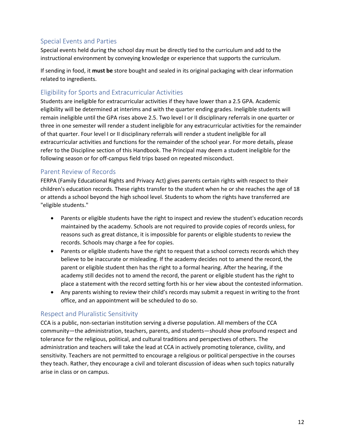#### <span id="page-11-0"></span>Special Events and Parties

Special events held during the school day must be directly tied to the curriculum and add to the instructional environment by conveying knowledge or experience that supports the curriculum.

If sending in food, it **must be** store bought and sealed in its original packaging with clear information related to ingredients.

#### <span id="page-11-1"></span>Eligibility for Sports and Extracurricular Activities

Students are ineligible for extracurricular activities if they have lower than a 2.5 GPA. Academic eligibility will be determined at interims and with the quarter ending grades. Ineligible students will remain ineligible until the GPA rises above 2.5. Two level I or II disciplinary referrals in one quarter or three in one semester will render a student ineligible for any extracurricular activities for the remainder of that quarter. Four level I or II disciplinary referrals will render a student ineligible for all extracurricular activities and functions for the remainder of the school year. For more details, please refer to the Discipline section of this Handbook. The Principal may deem a student ineligible for the following season or for off-campus field trips based on repeated misconduct.

#### <span id="page-11-2"></span>Parent Review of Records

FERPA (Family Educational Rights and Privacy Act) gives parents certain rights with respect to their children's education records. These rights transfer to the student when he or she reaches the age of 18 or attends a school beyond the high school level. Students to whom the rights have transferred are "eligible students."

- Parents or eligible students have the right to inspect and review the student's education records maintained by the academy. Schools are not required to provide copies of records unless, for reasons such as great distance, it is impossible for parents or eligible students to review the records. Schools may charge a fee for copies.
- Parents or eligible students have the right to request that a school corrects records which they believe to be inaccurate or misleading. If the academy decides not to amend the record, the parent or eligible student then has the right to a formal hearing. After the hearing, if the academy still decides not to amend the record, the parent or eligible student has the right to place a statement with the record setting forth his or her view about the contested information.
- Any parents wishing to review their child's records may submit a request in writing to the front office, and an appointment will be scheduled to do so.

#### <span id="page-11-3"></span>Respect and Pluralistic Sensitivity

CCA is a public, non-sectarian institution serving a diverse population. All members of the CCA community—the administration, teachers, parents, and students—should show profound respect and tolerance for the religious, political, and cultural traditions and perspectives of others. The administration and teachers will take the lead at CCA in actively promoting tolerance, civility, and sensitivity. Teachers are not permitted to encourage a religious or political perspective in the courses they teach. Rather, they encourage a civil and tolerant discussion of ideas when such topics naturally arise in class or on campus.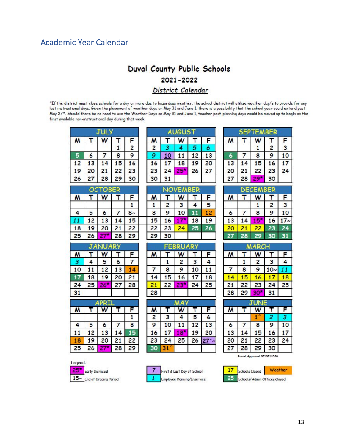# <span id="page-12-0"></span>Academic Year Calendar

### Duval County Public Schools 2021-2022 District Calendar

^If the district must close schools for a day or more due to hazardous weather, the school district will utilize weather day/s to provide for any<br>lost instructional days. Given the placement of weather days on May 31 and J May 27th. Should there be no need to use the Weather Days on May 31 and June 1, teacher post-planning days would be moved up to begin on the first available non-instructional day during that week.

| T  | W     | T            |                         |                         | A                       |
|----|-------|--------------|-------------------------|-------------------------|-------------------------|
|    |       |              | F                       | M                       | T                       |
|    |       | $\mathbf{1}$ | 2                       | 2                       | 3                       |
| 6  | 7     | 8            | 9                       | 9                       | 10                      |
| 13 | 14    | 15           | 16                      | 16                      | 17                      |
| 20 | 21    | 22           | 23                      | 23                      | 24                      |
| 27 | 28    | 29           | 30                      | 30                      | 31                      |
|    |       |              |                         |                         | ŃĆ                      |
| т  | W     | т            | F                       | M                       | T                       |
|    |       |              | 1                       | 1                       | $\overline{\mathbf{c}}$ |
| 5  | 6     | 7            | $8-$                    | 8                       | 9                       |
|    | 13    | 14           | 15                      | 15                      | 16                      |
| 19 | 20    | 21           | 22                      | 22                      | 23                      |
| 26 | 27*   | 28           | 29                      | 29                      | 30                      |
| JA |       | RY           |                         |                         | FE                      |
| T  | W     | T            | F                       | M                       | т                       |
| 4  | 5     | 6            | 7                       |                         | 1                       |
| 11 | 12    | 13           | 14                      | 7                       | 8                       |
| 18 | 19    | 20           | 21                      | 14                      | 15                      |
| 25 | $26*$ | 27           | 28                      | 21                      | 22                      |
|    |       |              |                         | 28                      |                         |
|    |       |              |                         |                         |                         |
| Т  | W     | т            | F                       | М                       | т                       |
|    |       |              | $\overline{\mathbf{1}}$ | $\overline{\mathbf{c}}$ | 3                       |
| 5  | 6     | 7            | 8                       | 9                       | 10                      |
| 12 | 13    | 14           | 15                      | 16                      | 17                      |
| 19 | 20    | 21           | 22                      | 23                      | $\overline{24}$         |
| 26 | $27*$ | 28           | 29                      | 30                      | 31'                     |
|    | 12    | $_{\rm oc}$  | <b>TOBER</b><br>PRI     |                         |                         |

|    |    |    | F<br>6          |
|----|----|----|-----------------|
|    |    |    |                 |
|    |    |    |                 |
|    |    | 12 | 13              |
|    | 18 | 19 | 20              |
| 24 |    | 26 | $\overline{21}$ |
| 31 |    |    |                 |
|    |    |    |                 |

|    | z  | 3  |    | 5 |
|----|----|----|----|---|
| 8  | 9  | 10 |    |   |
| 15 | 16 |    | 18 | 9 |
| 22 | 23 |    |    |   |
| 29 | 30 |    |    |   |

| ь  |    |    |    |    |  |
|----|----|----|----|----|--|
|    |    |    |    | F  |  |
|    |    | 2  | З  |    |  |
|    | 8  | 9  | 10 |    |  |
| 14 | 15 | 16 |    | 18 |  |
| 21 | 22 |    | 24 | 25 |  |
| 28 |    |    |    |    |  |

|    | 3  |    | 5  | 6  |
|----|----|----|----|----|
|    | 10 |    | 12 | 3  |
| 16 |    |    | 19 | 20 |
| 23 | 24 | 25 | 26 |    |
|    |    |    |    |    |

|    |    | PTEMBER |    |    |
|----|----|---------|----|----|
| M  |    |         |    | F  |
|    |    |         | 2  | 3  |
|    |    | 8       | 9  | 10 |
| 13 | 14 | 15      | 16 |    |
| 20 | 21 | 22      | 23 | 24 |
| 27 | 28 |         | 30 |    |

|          |    | DE <i>C</i> EMBER |                |        |
|----------|----|-------------------|----------------|--------|
| <b>M</b> |    |                   |                |        |
|          |    |                   | $\overline{c}$ | 3      |
| 6        |    | 8                 | 9              | 10     |
| 13       | 14 |                   | 16             | $17 -$ |
| 20       |    | 22                | 23             | 24     |
|          |    |                   |                |        |

| M  |    |    |    |    |
|----|----|----|----|----|
|    |    | 2  | 3  | 4  |
|    | 8  | 9  |    |    |
|    | 5  |    |    | 8  |
| 21 | 22 | 23 | 24 | 25 |
| 28 | 29 |    |    |    |

| 6  |    | 8  | 9  | 10 |
|----|----|----|----|----|
|    | 14 | 15 | 16 |    |
| 20 | 21 | 22 | 23 | 24 |
|    | 28 | 29 | 30 |    |







First & Last Day of School Employee Planning/Inservice

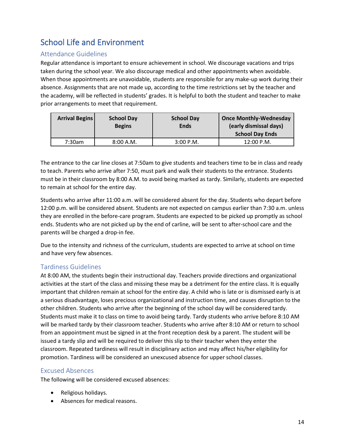# <span id="page-13-0"></span>School Life and Environment

#### <span id="page-13-1"></span>Attendance Guidelines

Regular attendance is important to ensure achievement in school. We discourage vacations and trips taken during the school year. We also discourage medical and other appointments when avoidable. When those appointments are unavoidable, students are responsible for any make-up work during their absence. Assignments that are not made up, according to the time restrictions set by the teacher and the academy, will be reflected in students' grades. It is helpful to both the student and teacher to make prior arrangements to meet that requirement.

| <b>Arrival Begins</b> | <b>School Day</b> | <b>School Day</b> | <b>Once Monthly-Wednesday</b> |
|-----------------------|-------------------|-------------------|-------------------------------|
|                       | <b>Begins</b>     | <b>Ends</b>       | (early dismissal days)        |
|                       |                   |                   | <b>School Day Ends</b>        |
| 7:30am                | 8:00 A.M.         | $3:00$ P.M.       | 12:00 P.M.                    |

The entrance to the car line closes at 7:50am to give students and teachers time to be in class and ready to teach. Parents who arrive after 7:50, must park and walk their students to the entrance. Students must be in their classroom by 8:00 A.M. to avoid being marked as tardy. Similarly, students are expected to remain at school for the entire day.

Students who arrive after 11:00 a.m. will be considered absent for the day. Students who depart before 12:00 p.m. will be considered absent. Students are not expected on campus earlier than 7:30 a.m. unless they are enrolled in the before-care program. Students are expected to be picked up promptly as school ends. Students who are not picked up by the end of carline, will be sent to after-school care and the parents will be charged a drop-in fee.

Due to the intensity and richness of the curriculum, students are expected to arrive at school on time and have very few absences.

#### <span id="page-13-2"></span>Tardiness Guidelines

At 8:00 AM, the students begin their instructional day. Teachers provide directions and organizational activities at the start of the class and missing these may be a detriment for the entire class. It is equally important that children remain at school for the entire day. A child who is late or is dismissed early is at a serious disadvantage, loses precious organizational and instruction time, and causes disruption to the other children. Students who arrive after the beginning of the school day will be considered tardy. Students must make it to class on time to avoid being tardy. Tardy students who arrive before 8:10 AM will be marked tardy by their classroom teacher. Students who arrive after 8:10 AM or return to school from an appointment must be signed in at the front reception desk by a parent. The student will be issued a tardy slip and will be required to deliver this slip to their teacher when they enter the classroom. Repeated tardiness will result in disciplinary action and may affect his/her eligibility for promotion. Tardiness will be considered an unexcused absence for upper school classes.

#### <span id="page-13-3"></span>Excused Absences

The following will be considered excused absences:

- Religious holidays.
- Absences for medical reasons.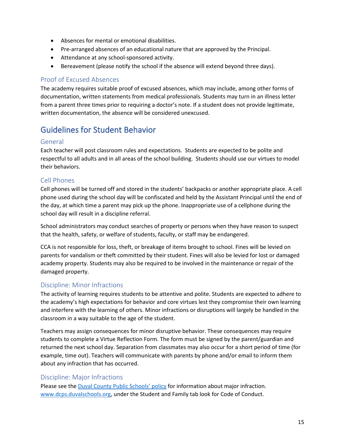- Absences for mental or emotional disabilities.
- Pre-arranged absences of an educational nature that are approved by the Principal.
- Attendance at any school-sponsored activity.
- Bereavement (please notify the school if the absence will extend beyond three days).

#### <span id="page-14-0"></span>Proof of Excused Absences

The academy requires suitable proof of excused absences, which may include, among other forms of documentation, written statements from medical professionals. Students may turn in an illness letter from a parent three times prior to requiring a doctor's note. If a student does not provide legitimate, written documentation, the absence will be considered unexcused.

# <span id="page-14-1"></span>Guidelines for Student Behavior

#### <span id="page-14-2"></span>General

Each teacher will post classroom rules and expectations. Students are expected to be polite and respectful to all adults and in all areas of the school building. Students should use our virtues to model their behaviors.

#### <span id="page-14-3"></span>Cell Phones

Cell phones will be turned off and stored in the students' backpacks or another appropriate place. A cell phone used during the school day will be confiscated and held by the Assistant Principal until the end of the day, at which time a parent may pick up the phone. Inappropriate use of a cellphone during the school day will result in a discipline referral.

School administrators may conduct searches of property or persons when they have reason to suspect that the health, safety, or welfare of students, faculty, or staff may be endangered.

CCA is not responsible for loss, theft, or breakage of items brought to school. Fines will be levied on parents for vandalism or theft committed by their student. Fines will also be levied for lost or damaged academy property. Students may also be required to be involved in the maintenance or repair of the damaged property.

#### <span id="page-14-4"></span>Discipline: Minor Infractions

The activity of learning requires students to be attentive and polite. Students are expected to adhere to the academy's high expectations for behavior and core virtues lest they compromise their own learning and interfere with the learning of others. Minor infractions or disruptions will largely be handled in the classroom in a way suitable to the age of the student.

Teachers may assign consequences for minor disruptive behavior. These consequences may require students to complete a Virtue Reflection Form. The form must be signed by the parent/guardian and returned the next school day. Separation from classmates may also occur for a short period of time (for example, time out). Teachers will communicate with parents by phone and/or email to inform them about any infraction that has occurred.

#### <span id="page-14-5"></span>Discipline: Major Infractions

Please see the Duval [County Public Schools' policy](https://dcps.duvalschools.org/Page/9868) for information about major infraction. [www.dcps.duvalschools.org,](http://www.dcps.duvalschools.org/) under the Student and Family tab look for Code of Conduct.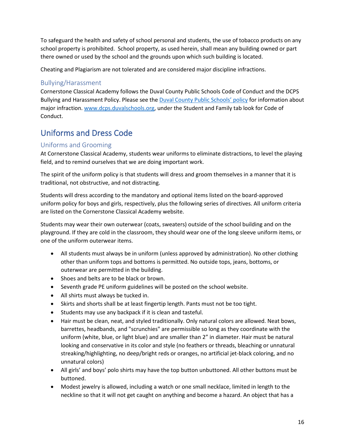To safeguard the health and safety of school personal and students, the use of tobacco products on any school property is prohibited. School property, as used herein, shall mean any building owned or part there owned or used by the school and the grounds upon which such building is located.

Cheating and Plagiarism are not tolerated and are considered major discipline infractions.

#### <span id="page-15-0"></span>Bullying/Harassment

Cornerstone Classical Academy follows the Duval County Public Schools Code of Conduct and the DCPS Bullying and Harassment Policy. Please see the [Duval County Public Schools' policy](https://dcps.duvalschools.org/Page/9868) for information about major infraction. [www.dcps.duvalschools.org,](http://www.dcps.duvalschools.org/) under the Student and Family tab look for Code of Conduct.

# <span id="page-15-1"></span>Uniforms and Dress Code

#### <span id="page-15-2"></span>Uniforms and Grooming

At Cornerstone Classical Academy, students wear uniforms to eliminate distractions, to level the playing field, and to remind ourselves that we are doing important work.

The spirit of the uniform policy is that students will dress and groom themselves in a manner that it is traditional, not obstructive, and not distracting.

Students will dress according to the mandatory and optional items listed on the board-approved uniform policy for boys and girls, respectively, plus the following series of directives. All uniform criteria are listed on the Cornerstone Classical Academy website.

Students may wear their own outerwear (coats, sweaters) outside of the school building and on the playground. If they are cold in the classroom, they should wear one of the long sleeve uniform items, or one of the uniform outerwear items.

- All students must always be in uniform (unless approved by administration). No other clothing other than uniform tops and bottoms is permitted. No outside tops, jeans, bottoms, or outerwear are permitted in the building.
- Shoes and belts are to be black or brown.
- Seventh grade PE uniform guidelines will be posted on the school website.
- All shirts must always be tucked in.
- Skirts and shorts shall be at least fingertip length. Pants must not be too tight.
- Students may use any backpack if it is clean and tasteful.
- Hair must be clean, neat, and styled traditionally. Only natural colors are allowed. Neat bows, barrettes, headbands, and "scrunchies" are permissible so long as they coordinate with the uniform (white, blue, or light blue) and are smaller than 2" in diameter. Hair must be natural looking and conservative in its color and style (no feathers or threads, bleaching or unnatural streaking/highlighting, no deep/bright reds or oranges, no artificial jet-black coloring, and no unnatural colors)
- All girls' and boys' polo shirts may have the top button unbuttoned. All other buttons must be buttoned.
- Modest jewelry is allowed, including a watch or one small necklace, limited in length to the neckline so that it will not get caught on anything and become a hazard. An object that has a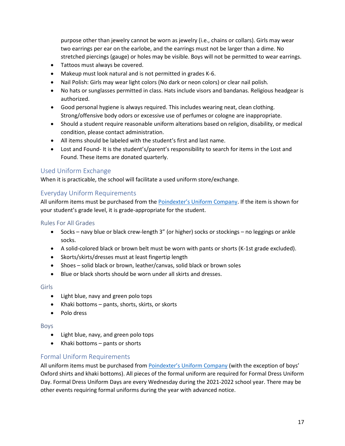purpose other than jewelry cannot be worn as jewelry (i.e., chains or collars). Girls may wear two earrings per ear on the earlobe, and the earrings must not be larger than a dime. No stretched piercings (gauge) or holes may be visible. Boys will not be permitted to wear earrings.

- Tattoos must always be covered.
- Makeup must look natural and is not permitted in grades K-6.
- Nail Polish: Girls may wear light colors (No dark or neon colors) or clear nail polish.
- No hats or sunglasses permitted in class. Hats include visors and bandanas. Religious headgear is authorized.
- Good personal hygiene is always required. This includes wearing neat, clean clothing. Strong/offensive body odors or excessive use of perfumes or cologne are inappropriate.
- Should a student require reasonable uniform alterations based on religion, disability, or medical condition, please contact administration.
- All items should be labeled with the student's first and last name.
- Lost and Found- It is the student's/parent's responsibility to search for items in the Lost and Found. These items are donated quarterly.

#### <span id="page-16-0"></span>Used Uniform Exchange

When it is practicable, the school will facilitate a used uniform store/exchange.

#### <span id="page-16-1"></span>Everyday Uniform Requirements

All uniform items must be purchased from the [Poindexter's Uniform Company.](https://www.poindextersuniforms.com/) If the item is shown for your student's grade level, it is grade-appropriate for the student.

#### <span id="page-16-2"></span>Rules For All Grades

- Socks navy blue or black crew-length 3" (or higher) socks or stockings no leggings or ankle socks.
- A solid-colored black or brown belt must be worn with pants or shorts (K-1st grade excluded).
- Skorts/skirts/dresses must at least fingertip length
- Shoes solid black or brown, leather/canvas, solid black or brown soles
- Blue or black shorts should be worn under all skirts and dresses.

#### <span id="page-16-3"></span>Girls

- Light blue, navy and green polo tops
- Khaki bottoms pants, shorts, skirts, or skorts
- Polo dress

#### <span id="page-16-4"></span>Boys

- Light blue, navy, and green polo tops
- Khaki bottoms pants or shorts

#### <span id="page-16-5"></span>Formal Uniform Requirements

All uniform items must be purchased fro[m Poindexter's Uniform Company](https://www.poindextersuniforms.com/) (with the exception of boys' Oxford shirts and khaki bottoms). All pieces of the formal uniform are required for Formal Dress Uniform Day. Formal Dress Uniform Days are every Wednesday during the 2021-2022 school year. There may be other events requiring formal uniforms during the year with advanced notice.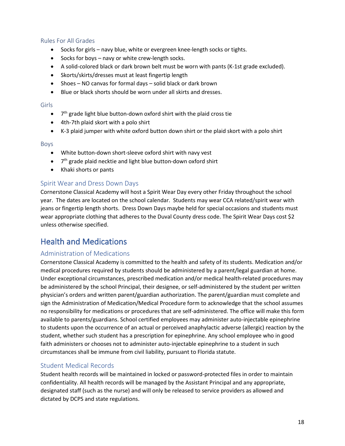#### <span id="page-17-0"></span>Rules For All Grades

- Socks for girls navy blue, white or evergreen knee-length socks or tights.
- Socks for boys navy or white crew-length socks.
- A solid-colored black or dark brown belt must be worn with pants (K-1st grade excluded).
- Skorts/skirts/dresses must at least fingertip length
- Shoes NO canvas for formal days solid black or dark brown
- Blue or black shorts should be worn under all skirts and dresses.

#### <span id="page-17-1"></span>Girls

- $\bullet$   $7<sup>th</sup>$  grade light blue button-down oxford shirt with the plaid cross tie
- 4th-7th plaid skort with a polo shirt
- K-3 plaid jumper with white oxford button down shirt or the plaid skort with a polo shirt

#### <span id="page-17-2"></span>Boys

- White button-down short-sleeve oxford shirt with navy vest
- $\bullet$   $7<sup>th</sup>$  grade plaid necktie and light blue button-down oxford shirt
- Khaki shorts or pants

#### <span id="page-17-3"></span>Spirit Wear and Dress Down Days

Cornerstone Classical Academy will host a Spirit Wear Day every other Friday throughout the school year. The dates are located on the school calendar. Students may wear CCA related/spirit wear with jeans or fingertip length shorts. Dress Down Days maybe held for special occasions and students must wear appropriate clothing that adheres to the Duval County dress code. The Spirit Wear Days cost \$2 unless otherwise specified.

### <span id="page-17-4"></span>Health and Medications

#### <span id="page-17-5"></span>Administration of Medications

Cornerstone Classical Academy is committed to the health and safety of its students. Medication and/or medical procedures required by students should be administered by a parent/legal guardian at home. Under exceptional circumstances, prescribed medication and/or medical health-related procedures may be administered by the school Principal, their designee, or self-administered by the student per written physician's orders and written parent/guardian authorization. The parent/guardian must complete and sign the Administration of Medication/Medical Procedure form to acknowledge that the school assumes no responsibility for medications or procedures that are self-administered. The office will make this form available to parents/guardians. School certified employees may administer auto-injectable epinephrine to students upon the occurrence of an actual or perceived anaphylactic adverse (allergic) reaction by the student, whether such student has a prescription for epinephrine. Any school employee who in good faith administers or chooses not to administer auto-injectable epinephrine to a student in such circumstances shall be immune from civil liability, pursuant to Florida statute.

#### <span id="page-17-6"></span>Student Medical Records

Student health records will be maintained in locked or password-protected files in order to maintain confidentiality. All health records will be managed by the Assistant Principal and any appropriate, designated staff (such as the nurse) and will only be released to service providers as allowed and dictated by DCPS and state regulations.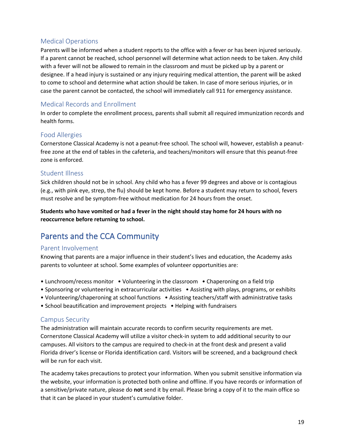#### <span id="page-18-0"></span>Medical Operations

Parents will be informed when a student reports to the office with a fever or has been injured seriously. If a parent cannot be reached, school personnel will determine what action needs to be taken. Any child with a fever will not be allowed to remain in the classroom and must be picked up by a parent or designee. If a head injury is sustained or any injury requiring medical attention, the parent will be asked to come to school and determine what action should be taken. In case of more serious injuries, or in case the parent cannot be contacted, the school will immediately call 911 for emergency assistance.

#### <span id="page-18-1"></span>Medical Records and Enrollment

In order to complete the enrollment process, parents shall submit all required immunization records and health forms.

#### <span id="page-18-2"></span>Food Allergies

Cornerstone Classical Academy is not a peanut-free school. The school will, however, establish a peanutfree zone at the end of tables in the cafeteria, and teachers/monitors will ensure that this peanut-free zone is enforced.

#### <span id="page-18-3"></span>Student Illness

Sick children should not be in school. Any child who has a fever 99 degrees and above or is contagious (e.g., with pink eye, strep, the flu) should be kept home. Before a student may return to school, fevers must resolve and be symptom-free without medication for 24 hours from the onset.

**Students who have vomited or had a fever in the night should stay home for 24 hours with no reoccurrence before returning to school.**

### <span id="page-18-4"></span>Parents and the CCA Community

#### <span id="page-18-5"></span>Parent Involvement

Knowing that parents are a major influence in their student's lives and education, the Academy asks parents to volunteer at school. Some examples of volunteer opportunities are:

- Lunchroom/recess monitor Volunteering in the classroom Chaperoning on a field trip
- Sponsoring or volunteering in extracurricular activities Assisting with plays, programs, or exhibits
- Volunteering/chaperoning at school functions Assisting teachers/staff with administrative tasks
- School beautification and improvement projects Helping with fundraisers

#### <span id="page-18-6"></span>Campus Security

The administration will maintain accurate records to confirm security requirements are met. Cornerstone Classical Academy will utilize a visitor check-in system to add additional security to our campuses. All visitors to the campus are required to check-in at the front desk and present a valid Florida driver's license or Florida identification card. Visitors will be screened, and a background check will be run for each visit.

The academy takes precautions to protect your information. When you submit sensitive information via the website, your information is protected both online and offline. If you have records or information of a sensitive/private nature, please do **not** send it by email. Please bring a copy of it to the main office so that it can be placed in your student's cumulative folder.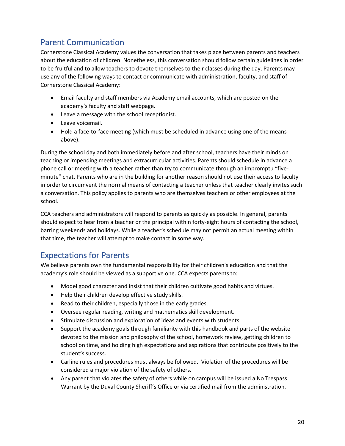### <span id="page-19-0"></span>Parent Communication

Cornerstone Classical Academy values the conversation that takes place between parents and teachers about the education of children. Nonetheless, this conversation should follow certain guidelines in order to be fruitful and to allow teachers to devote themselves to their classes during the day. Parents may use any of the following ways to contact or communicate with administration, faculty, and staff of Cornerstone Classical Academy:

- Email faculty and staff members via Academy email accounts, which are posted on the academy's faculty and staff webpage.
- Leave a message with the school receptionist.
- Leave voicemail.
- Hold a face-to-face meeting (which must be scheduled in advance using one of the means above).

During the school day and both immediately before and after school, teachers have their minds on teaching or impending meetings and extracurricular activities. Parents should schedule in advance a phone call or meeting with a teacher rather than try to communicate through an impromptu "fiveminute" chat. Parents who are in the building for another reason should not use their access to faculty in order to circumvent the normal means of contacting a teacher unless that teacher clearly invites such a conversation. This policy applies to parents who are themselves teachers or other employees at the school.

CCA teachers and administrators will respond to parents as quickly as possible. In general, parents should expect to hear from a teacher or the principal within forty-eight hours of contacting the school, barring weekends and holidays. While a teacher's schedule may not permit an actual meeting within that time, the teacher will attempt to make contact in some way.

# <span id="page-19-1"></span>Expectations for Parents

We believe parents own the fundamental responsibility for their children's education and that the academy's role should be viewed as a supportive one. CCA expects parents to:

- Model good character and insist that their children cultivate good habits and virtues.
- Help their children develop effective study skills.
- Read to their children, especially those in the early grades.
- Oversee regular reading, writing and mathematics skill development.
- Stimulate discussion and exploration of ideas and events with students.
- Support the academy goals through familiarity with this handbook and parts of the website devoted to the mission and philosophy of the school, homework review, getting children to school on time, and holding high expectations and aspirations that contribute positively to the student's success.
- Carline rules and procedures must always be followed. Violation of the procedures will be considered a major violation of the safety of others.
- Any parent that violates the safety of others while on campus will be issued a No Trespass Warrant by the Duval County Sheriff's Office or via certified mail from the administration.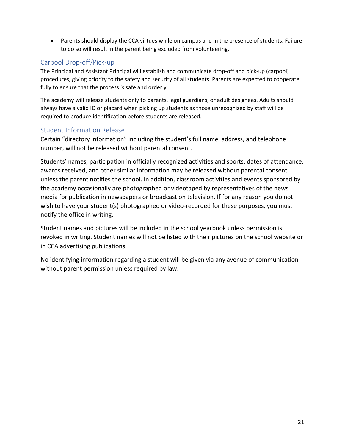• Parents should display the CCA virtues while on campus and in the presence of students. Failure to do so will result in the parent being excluded from volunteering.

### <span id="page-20-0"></span>Carpool Drop-off/Pick-up

The Principal and Assistant Principal will establish and communicate drop-off and pick-up (carpool) procedures, giving priority to the safety and security of all students. Parents are expected to cooperate fully to ensure that the process is safe and orderly.

The academy will release students only to parents, legal guardians, or adult designees. Adults should always have a valid ID or placard when picking up students as those unrecognized by staff will be required to produce identification before students are released.

#### <span id="page-20-1"></span>Student Information Release

Certain "directory information" including the student's full name, address, and telephone number, will not be released without parental consent.

Students' names, participation in officially recognized activities and sports, dates of attendance, awards received, and other similar information may be released without parental consent unless the parent notifies the school. In addition, classroom activities and events sponsored by the academy occasionally are photographed or videotaped by representatives of the news media for publication in newspapers or broadcast on television. If for any reason you do not wish to have your student(s) photographed or video-recorded for these purposes, you must notify the office in writing.

Student names and pictures will be included in the school yearbook unless permission is revoked in writing. Student names will not be listed with their pictures on the school website or in CCA advertising publications.

No identifying information regarding a student will be given via any avenue of communication without parent permission unless required by law.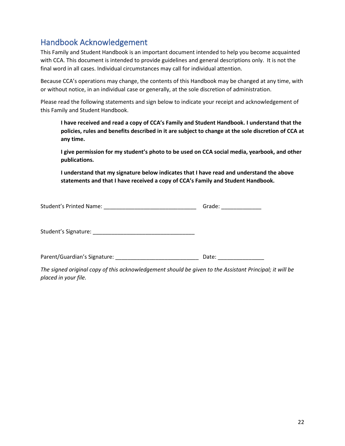# <span id="page-21-0"></span>Handbook Acknowledgement

This Family and Student Handbook is an important document intended to help you become acquainted with CCA. This document is intended to provide guidelines and general descriptions only. It is not the final word in all cases. Individual circumstances may call for individual attention.

Because CCA's operations may change, the contents of this Handbook may be changed at any time, with or without notice, in an individual case or generally, at the sole discretion of administration.

Please read the following statements and sign below to indicate your receipt and acknowledgement of this Family and Student Handbook.

**I have received and read a copy of CCA's Family and Student Handbook. I understand that the policies, rules and benefits described in it are subject to change at the sole discretion of CCA at any time.**

**I give permission for my student's photo to be used on CCA social media, yearbook, and other publications.** 

**I understand that my signature below indicates that I have read and understand the above statements and that I have received a copy of CCA's Family and Student Handbook.**

| Student's Printed Name: | Grade: |
|-------------------------|--------|
|                         |        |

Student's Signature: \_\_\_\_\_\_\_\_\_\_\_\_\_\_\_\_\_\_\_\_\_\_\_\_\_\_\_\_\_\_\_\_\_

Parent/Guardian's Signature: \_\_\_\_\_\_\_\_\_\_\_\_\_\_\_\_\_\_\_\_\_\_\_\_\_\_\_ Date: \_\_\_\_\_\_\_\_\_\_\_\_\_\_\_

*The signed original copy of this acknowledgement should be given to the Assistant Principal; it will be placed in your file.*